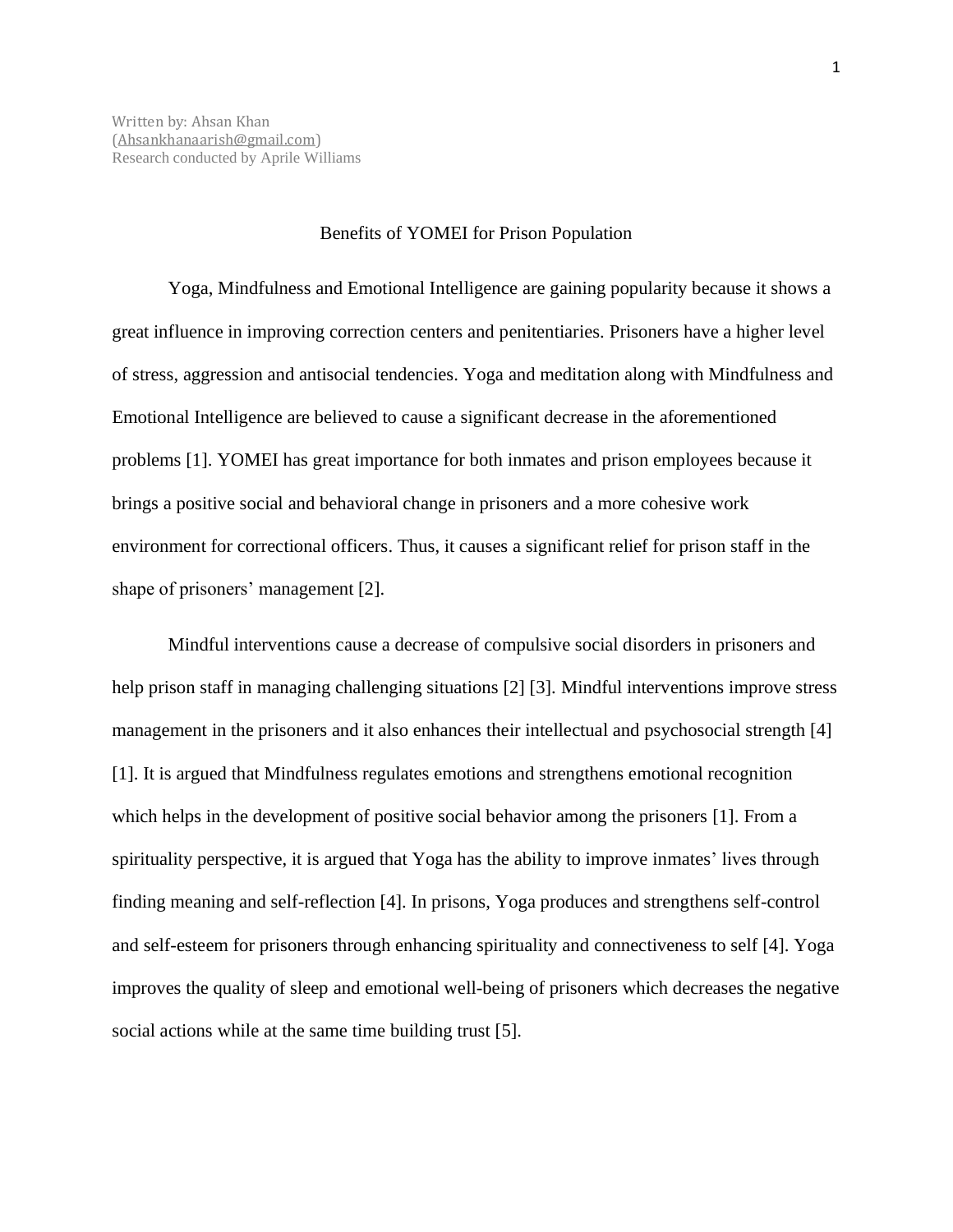## Benefits of YOMEI for Prison Population

Yoga, Mindfulness and Emotional Intelligence are gaining popularity because it shows a great influence in improving correction centers and penitentiaries. Prisoners have a higher level of stress, aggression and antisocial tendencies. Yoga and meditation along with Mindfulness and Emotional Intelligence are believed to cause a significant decrease in the aforementioned problems [1]. YOMEI has great importance for both inmates and prison employees because it brings a positive social and behavioral change in prisoners and a more cohesive work environment for correctional officers. Thus, it causes a significant relief for prison staff in the shape of prisoners' management [2].

Mindful interventions cause a decrease of compulsive social disorders in prisoners and help prison staff in managing challenging situations [2] [3]. Mindful interventions improve stress management in the prisoners and it also enhances their intellectual and psychosocial strength [4] [1]. It is argued that Mindfulness regulates emotions and strengthens emotional recognition which helps in the development of positive social behavior among the prisoners [1]. From a spirituality perspective, it is argued that Yoga has the ability to improve inmates' lives through finding meaning and self-reflection [4]. In prisons, Yoga produces and strengthens self-control and self-esteem for prisoners through enhancing spirituality and connectiveness to self [4]. Yoga improves the quality of sleep and emotional well-being of prisoners which decreases the negative social actions while at the same time building trust [5].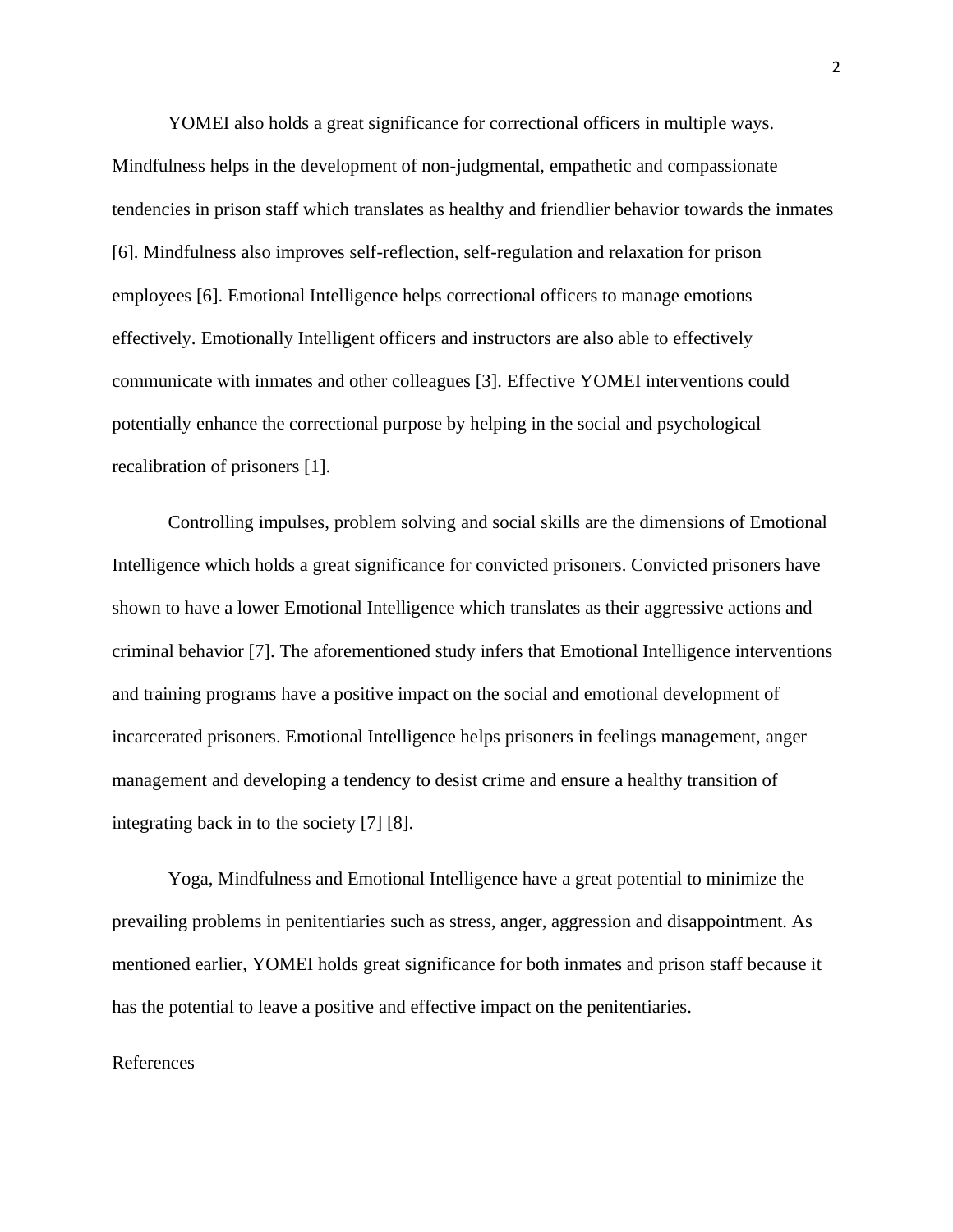YOMEI also holds a great significance for correctional officers in multiple ways. Mindfulness helps in the development of non-judgmental, empathetic and compassionate tendencies in prison staff which translates as healthy and friendlier behavior towards the inmates [6]. Mindfulness also improves self-reflection, self-regulation and relaxation for prison employees [6]. Emotional Intelligence helps correctional officers to manage emotions effectively. Emotionally Intelligent officers and instructors are also able to effectively communicate with inmates and other colleagues [3]. Effective YOMEI interventions could potentially enhance the correctional purpose by helping in the social and psychological recalibration of prisoners [1].

Controlling impulses, problem solving and social skills are the dimensions of Emotional Intelligence which holds a great significance for convicted prisoners. Convicted prisoners have shown to have a lower Emotional Intelligence which translates as their aggressive actions and criminal behavior [7]. The aforementioned study infers that Emotional Intelligence interventions and training programs have a positive impact on the social and emotional development of incarcerated prisoners. Emotional Intelligence helps prisoners in feelings management, anger management and developing a tendency to desist crime and ensure a healthy transition of integrating back in to the society [7] [8].

Yoga, Mindfulness and Emotional Intelligence have a great potential to minimize the prevailing problems in penitentiaries such as stress, anger, aggression and disappointment. As mentioned earlier, YOMEI holds great significance for both inmates and prison staff because it has the potential to leave a positive and effective impact on the penitentiaries.

## References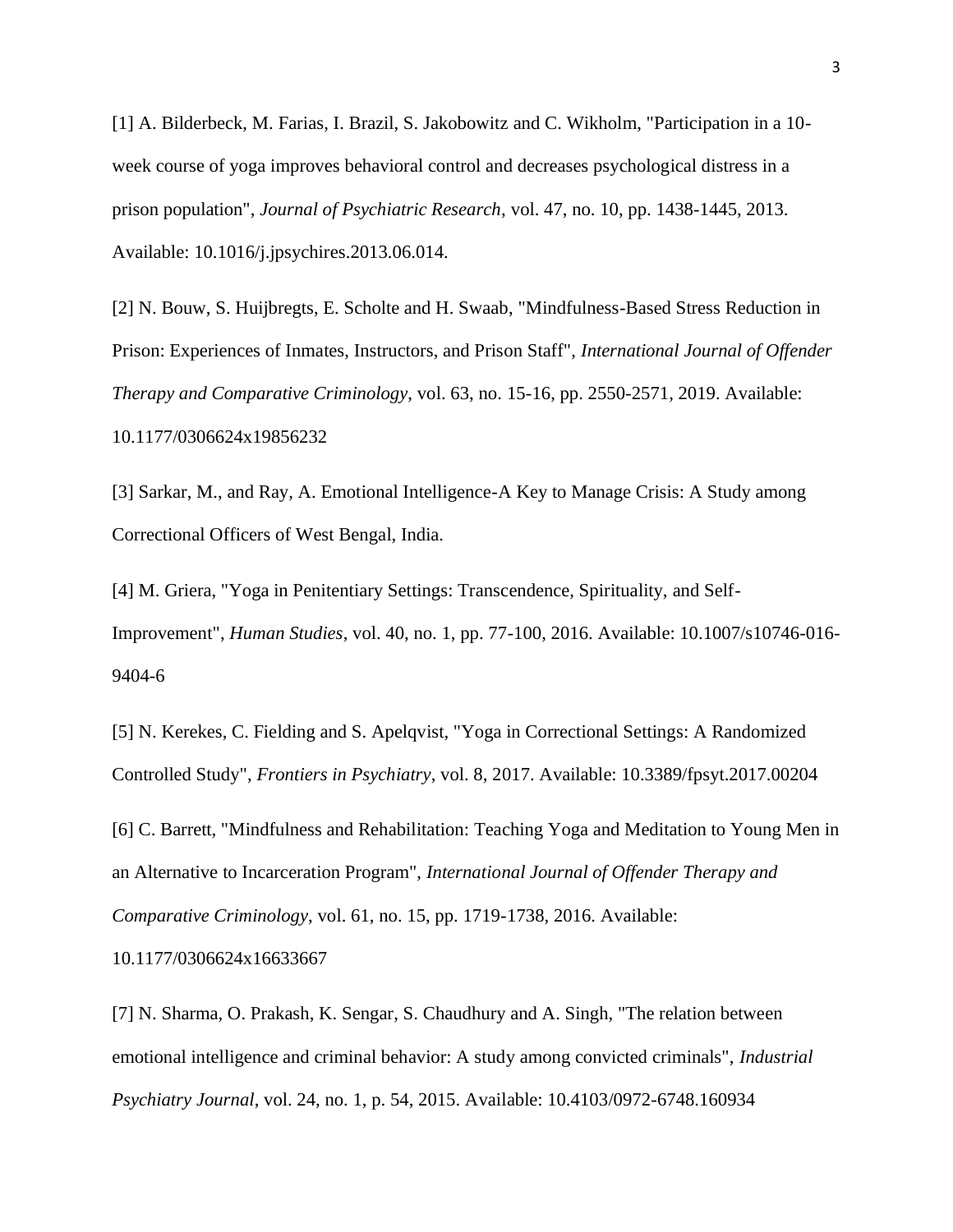[1] A. Bilderbeck, M. Farias, I. Brazil, S. Jakobowitz and C. Wikholm, "Participation in a 10 week course of yoga improves behavioral control and decreases psychological distress in a prison population", *Journal of Psychiatric Research*, vol. 47, no. 10, pp. 1438-1445, 2013. Available: 10.1016/j.jpsychires.2013.06.014.

[2] N. Bouw, S. Huijbregts, E. Scholte and H. Swaab, "Mindfulness-Based Stress Reduction in Prison: Experiences of Inmates, Instructors, and Prison Staff", *International Journal of Offender Therapy and Comparative Criminology*, vol. 63, no. 15-16, pp. 2550-2571, 2019. Available: 10.1177/0306624x19856232

[3] Sarkar, M., and Ray, A. Emotional Intelligence-A Key to Manage Crisis: A Study among Correctional Officers of West Bengal, India.

[4] M. Griera, "Yoga in Penitentiary Settings: Transcendence, Spirituality, and Self-Improvement", *Human Studies*, vol. 40, no. 1, pp. 77-100, 2016. Available: 10.1007/s10746-016- 9404-6

[5] N. Kerekes, C. Fielding and S. Apelqvist, "Yoga in Correctional Settings: A Randomized Controlled Study", *Frontiers in Psychiatry*, vol. 8, 2017. Available: 10.3389/fpsyt.2017.00204

[6] C. Barrett, "Mindfulness and Rehabilitation: Teaching Yoga and Meditation to Young Men in an Alternative to Incarceration Program", *International Journal of Offender Therapy and Comparative Criminology*, vol. 61, no. 15, pp. 1719-1738, 2016. Available: 10.1177/0306624x16633667

[7] N. Sharma, O. Prakash, K. Sengar, S. Chaudhury and A. Singh, "The relation between emotional intelligence and criminal behavior: A study among convicted criminals", *Industrial Psychiatry Journal*, vol. 24, no. 1, p. 54, 2015. Available: 10.4103/0972-6748.160934